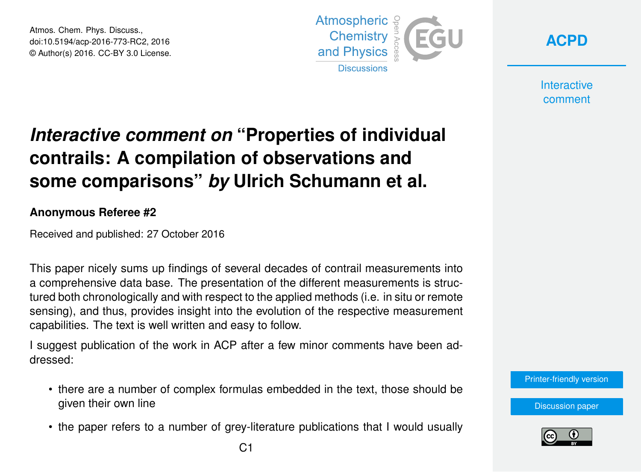Atmos. Chem. Phys. Discuss., doi:10.5194/acp-2016-773-RC2, 2016 © Author(s) 2016. CC-BY 3.0 License.



**[ACPD](http://www.atmos-chem-phys-discuss.net/)**

**Interactive** comment

## *Interactive comment on* **"Properties of individual contrails: A compilation of observations and some comparisons"** *by* **Ulrich Schumann et al.**

**Anonymous Referee #2**

Received and published: 27 October 2016

This paper nicely sums up findings of several decades of contrail measurements into a comprehensive data base. The presentation of the different measurements is structured both chronologically and with respect to the applied methods (i.e. in situ or remote sensing), and thus, provides insight into the evolution of the respective measurement capabilities. The text is well written and easy to follow.

I suggest publication of the work in ACP after a few minor comments have been addressed:

- there are a number of complex formulas embedded in the text, those should be given their own line
- the paper refers to a number of grey-literature publications that I would usually

[Printer-friendly version](http://www.atmos-chem-phys-discuss.net/acp-2016-773/acp-2016-773-RC2-print.pdf)

[Discussion paper](http://www.atmos-chem-phys-discuss.net/acp-2016-773)

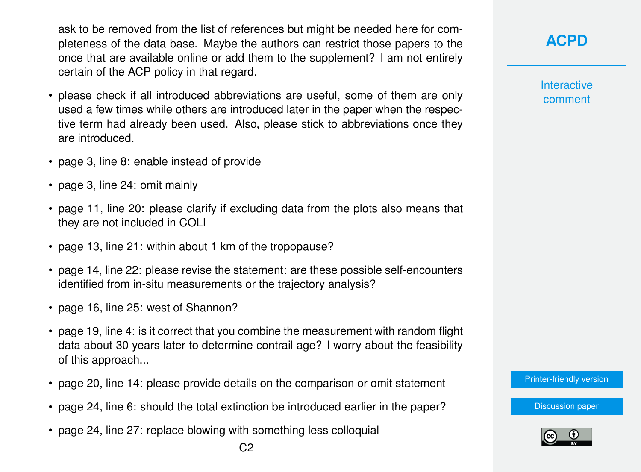ask to be removed from the list of references but might be needed here for completeness of the data base. Maybe the authors can restrict those papers to the once that are available online or add them to the supplement? I am not entirely certain of the ACP policy in that regard.

- please check if all introduced abbreviations are useful, some of them are only used a few times while others are introduced later in the paper when the respective term had already been used. Also, please stick to abbreviations once they are introduced.
- page 3, line 8: enable instead of provide
- page 3, line 24: omit mainly
- page 11, line 20: please clarify if excluding data from the plots also means that they are not included in COLI
- page 13, line 21: within about 1 km of the tropopause?
- page 14, line 22: please revise the statement: are these possible self-encounters identified from in-situ measurements or the trajectory analysis?
- page 16, line 25: west of Shannon?
- page 19, line 4: is it correct that you combine the measurement with random flight data about 30 years later to determine contrail age? I worry about the feasibility of this approach...
- page 20, line 14: please provide details on the comparison or omit statement
- page 24, line 6: should the total extinction be introduced earlier in the paper?
- page 24, line 27: replace blowing with something less colloquial

**Interactive** comment

[Printer-friendly version](http://www.atmos-chem-phys-discuss.net/acp-2016-773/acp-2016-773-RC2-print.pdf)

[Discussion paper](http://www.atmos-chem-phys-discuss.net/acp-2016-773)